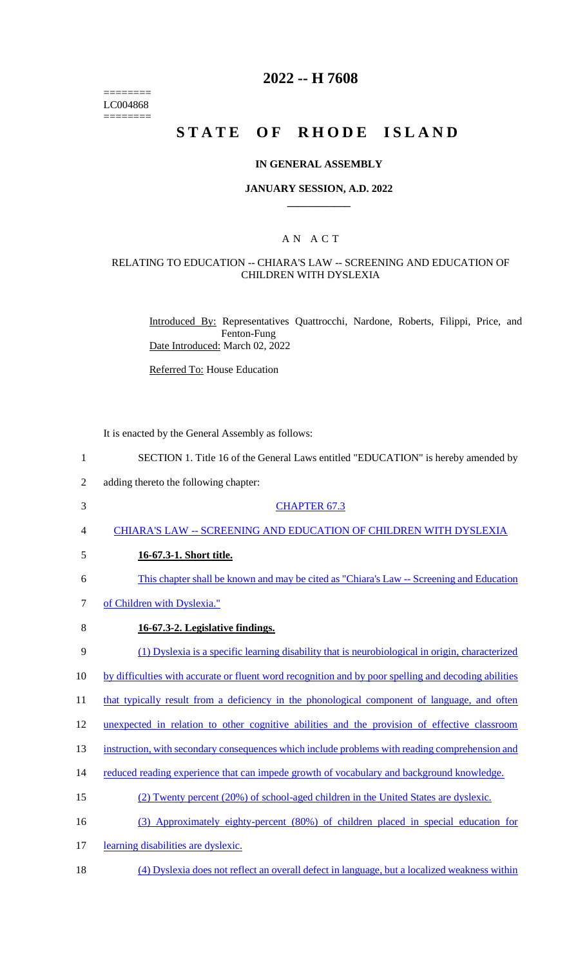======== LC004868  $=$ 

# **2022 -- H 7608**

# **STATE OF RHODE ISLAND**

## **IN GENERAL ASSEMBLY**

#### **JANUARY SESSION, A.D. 2022 \_\_\_\_\_\_\_\_\_\_\_\_**

## A N A C T

## RELATING TO EDUCATION -- CHIARA'S LAW -- SCREENING AND EDUCATION OF CHILDREN WITH DYSLEXIA

Introduced By: Representatives Quattrocchi, Nardone, Roberts, Filippi, Price, and Fenton-Fung Date Introduced: March 02, 2022

Referred To: House Education

It is enacted by the General Assembly as follows:

| $\mathbf{1}$   | SECTION 1. Title 16 of the General Laws entitled "EDUCATION" is hereby amended by                    |
|----------------|------------------------------------------------------------------------------------------------------|
| $\overline{2}$ | adding thereto the following chapter:                                                                |
| 3              | <b>CHAPTER 67.3</b>                                                                                  |
| 4              | CHIARA'S LAW -- SCREENING AND EDUCATION OF CHILDREN WITH DYSLEXIA                                    |
| 5              | 16-67.3-1. Short title.                                                                              |
| 6              | This chapter shall be known and may be cited as "Chiara's Law -- Screening and Education"            |
| 7              | of Children with Dyslexia."                                                                          |
| 8              | 16-67.3-2. Legislative findings.                                                                     |
| 9              | (1) Dyslexia is a specific learning disability that is neurobiological in origin, characterized      |
| 10             | by difficulties with accurate or fluent word recognition and by poor spelling and decoding abilities |
| 11             | that typically result from a deficiency in the phonological component of language, and often         |
| 12             | unexpected in relation to other cognitive abilities and the provision of effective classroom         |
| 13             | instruction, with secondary consequences which include problems with reading comprehension and       |
| 14             | reduced reading experience that can impede growth of vocabulary and background knowledge.            |
| 15             | (2) Twenty percent (20%) of school-aged children in the United States are dyslexic.                  |
| 16             | (3) Approximately eighty-percent (80%) of children placed in special education for                   |
| 17             | learning disabilities are dyslexic.                                                                  |
| 18             | (4) Dyslexia does not reflect an overall defect in language, but a localized weakness within         |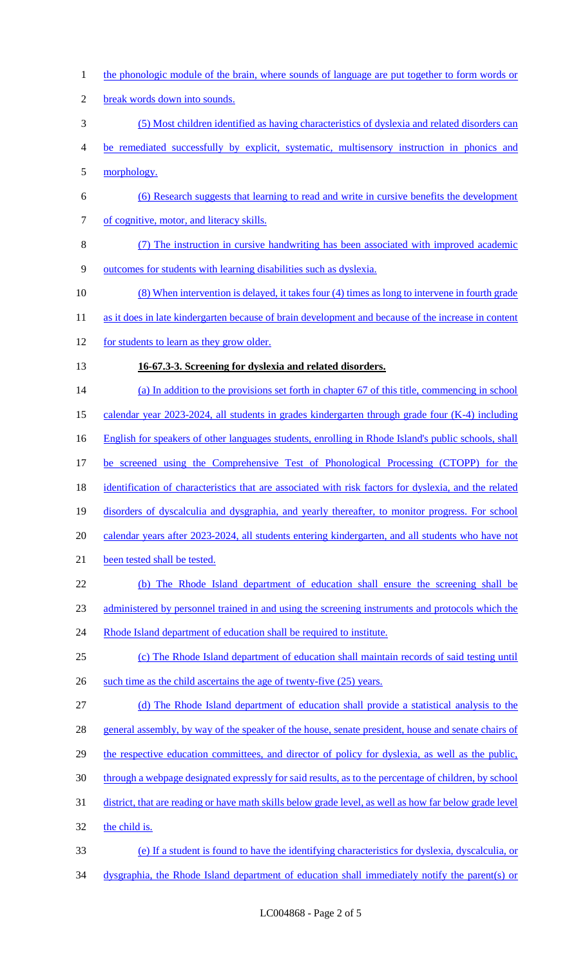- the phonologic module of the brain, where sounds of language are put together to form words or
- break words down into sounds.
- (5) Most children identified as having characteristics of dyslexia and related disorders can
- be remediated successfully by explicit, systematic, multisensory instruction in phonics and
- morphology.
- (6) Research suggests that learning to read and write in cursive benefits the development of cognitive, motor, and literacy skills.
- (7) The instruction in cursive handwriting has been associated with improved academic
- outcomes for students with learning disabilities such as dyslexia.
- (8) When intervention is delayed, it takes four (4) times as long to intervene in fourth grade
- 11 as it does in late kindergarten because of brain development and because of the increase in content
- 12 for students to learn as they grow older.
- **16-67.3-3. Screening for dyslexia and related disorders.**
- 14 (a) In addition to the provisions set forth in chapter 67 of this title, commencing in school
- calendar year 2023-2024, all students in grades kindergarten through grade four (K-4) including
- English for speakers of other languages students, enrolling in Rhode Island's public schools, shall
- be screened using the Comprehensive Test of Phonological Processing (CTOPP) for the
- 18 identification of characteristics that are associated with risk factors for dyslexia, and the related
- disorders of dyscalculia and dysgraphia, and yearly thereafter, to monitor progress. For school
- calendar years after 2023-2024, all students entering kindergarten, and all students who have not
- 21 been tested shall be tested.
- (b) The Rhode Island department of education shall ensure the screening shall be
- administered by personnel trained in and using the screening instruments and protocols which the
- 24 Rhode Island department of education shall be required to institute.
- (c) The Rhode Island department of education shall maintain records of said testing until
- 26 such time as the child ascertains the age of twenty-five (25) years.
- (d) The Rhode Island department of education shall provide a statistical analysis to the
- 28 general assembly, by way of the speaker of the house, senate president, house and senate chairs of
- 29 the respective education committees, and director of policy for dyslexia, as well as the public,
- through a webpage designated expressly for said results, as to the percentage of children, by school
- district, that are reading or have math skills below grade level, as well as how far below grade level
- the child is.
- (e) If a student is found to have the identifying characteristics for dyslexia, dyscalculia, or
- dysgraphia, the Rhode Island department of education shall immediately notify the parent(s) or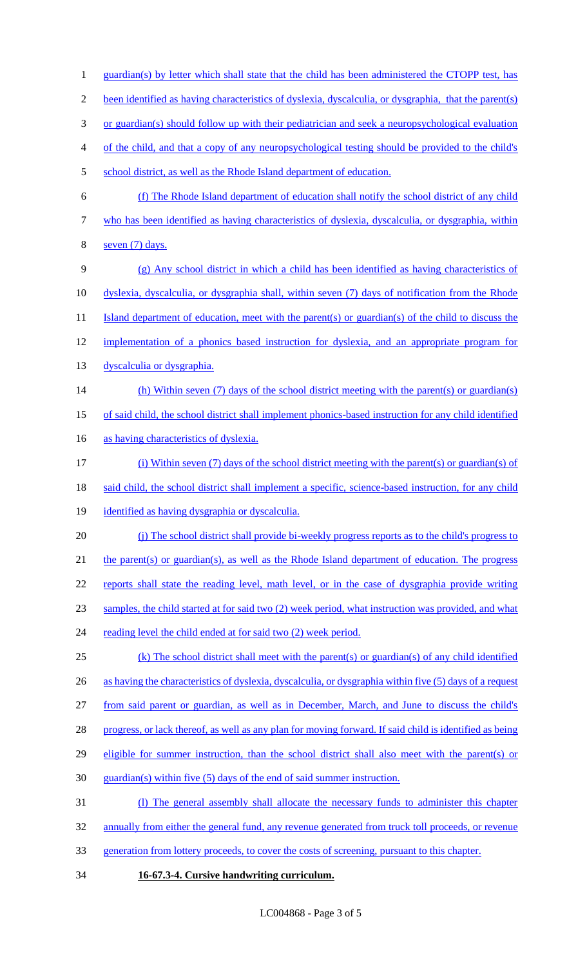guardian(s) by letter which shall state that the child has been administered the CTOPP test, has been identified as having characteristics of dyslexia, dyscalculia, or dysgraphia, that the parent(s) or guardian(s) should follow up with their pediatrician and seek a neuropsychological evaluation of the child, and that a copy of any neuropsychological testing should be provided to the child's 5 school district, as well as the Rhode Island department of education. (f) The Rhode Island department of education shall notify the school district of any child who has been identified as having characteristics of dyslexia, dyscalculia, or dysgraphia, within seven (7) days. (g) Any school district in which a child has been identified as having characteristics of dyslexia, dyscalculia, or dysgraphia shall, within seven (7) days of notification from the Rhode 11 Island department of education, meet with the parent(s) or guardian(s) of the child to discuss the implementation of a phonics based instruction for dyslexia, and an appropriate program for 13 dyscalculia or dysgraphia. 14 (h) Within seven (7) days of the school district meeting with the parent(s) or guardian(s) of said child, the school district shall implement phonics-based instruction for any child identified 16 as having characteristics of dyslexia. (i) Within seven (7) days of the school district meeting with the parent(s) or guardian(s) of 18 said child, the school district shall implement a specific, science-based instruction, for any child identified as having dysgraphia or dyscalculia. (j) The school district shall provide bi-weekly progress reports as to the child's progress to 21 the parent(s) or guardian(s), as well as the Rhode Island department of education. The progress reports shall state the reading level, math level, or in the case of dysgraphia provide writing samples, the child started at for said two (2) week period, what instruction was provided, and what 24 reading level the child ended at for said two (2) week period. (k) The school district shall meet with the parent(s) or guardian(s) of any child identified 26 as having the characteristics of dyslexia, dyscalculia, or dysgraphia within five (5) days of a request from said parent or guardian, as well as in December, March, and June to discuss the child's 28 progress, or lack thereof, as well as any plan for moving forward. If said child is identified as being eligible for summer instruction, than the school district shall also meet with the parent(s) or guardian(s) within five (5) days of the end of said summer instruction. (l) The general assembly shall allocate the necessary funds to administer this chapter annually from either the general fund, any revenue generated from truck toll proceeds, or revenue generation from lottery proceeds, to cover the costs of screening, pursuant to this chapter. **16-67.3-4. Cursive handwriting curriculum.**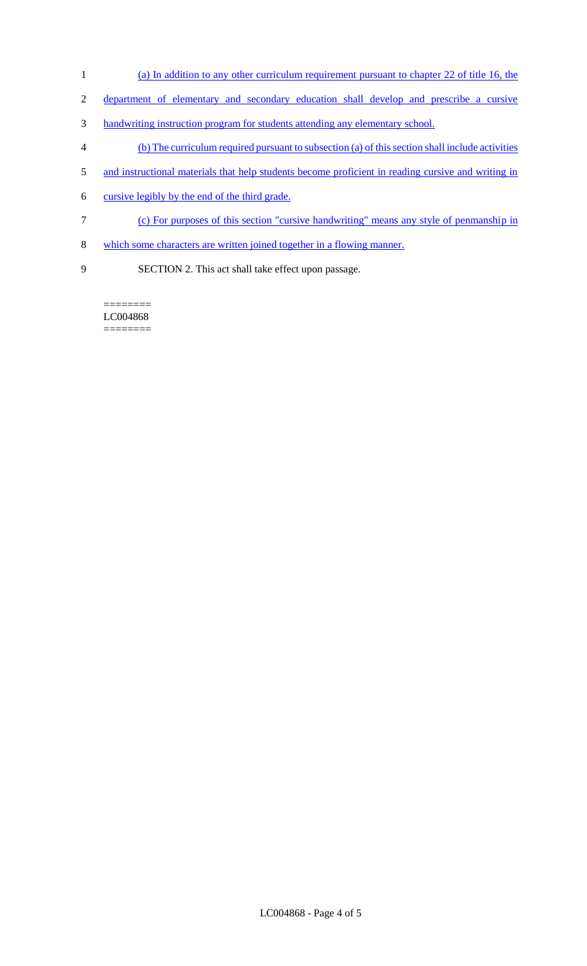- 1 (a) In addition to any other curriculum requirement pursuant to chapter 22 of title 16, the
- 2 department of elementary and secondary education shall develop and prescribe a cursive
- 3 handwriting instruction program for students attending any elementary school.
- 4 (b) The curriculum required pursuant to subsection (a) of this section shall include activities
- 5 and instructional materials that help students become proficient in reading cursive and writing in
- 6 cursive legibly by the end of the third grade.
- 7 (c) For purposes of this section "cursive handwriting" means any style of penmanship in
- 8 which some characters are written joined together in a flowing manner.
- 9 SECTION 2. This act shall take effect upon passage.

======== LC004868  $=$